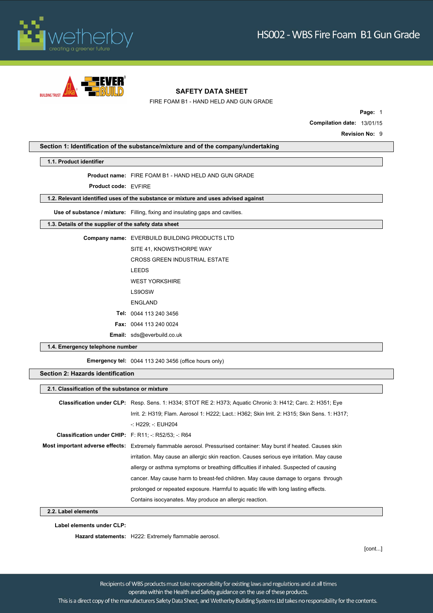



FIRE FOAM B1 - HAND HELD AND GUN GRADE

**Page:** 1 **Compilation date:** 13/01/15 **Revision No: 9** 

**Section 1: Identification of the substance/mixture and of the company/undertaking**

#### **1.1. Product identifier**

**Product name:** FIRE FOAM B1 - HAND HELD AND GUN GRADE

**Product code:** EVFIRE

**1.2. Relevant identified uses of the substance or mixture and uses advised against**

**Use of substance / mixture:** Filling, fixing and insulating gaps and cavities.

**1.3. Details of the supplier of the safety data sheet**

**Company name:** EVERBUILD BUILDING PRODUCTS LTD SITE 41, KNOWSTHORPE WAY CROSS GREEN INDUSTRIAL ESTATE LEEDS WEST YORKSHIRE LS9OSW ENGLAND **Tel:** 0044 113 240 3456 **Fax:** 0044 113 240 0024 **Email:** sds@everbuild.co.uk

**1.4. Emergency telephone number**

**Emergency tel:** 0044 113 240 3456 (office hours only)

#### **Section 2: Hazards identification**

#### **2.1. Classification of the substance or mixture**

|                                                             | <b>Classification under CLP:</b> Resp. Sens. 1: H334; STOT RE 2: H373; Aquatic Chronic 3: H412; Carc. 2: H351; Eye   |  |
|-------------------------------------------------------------|----------------------------------------------------------------------------------------------------------------------|--|
|                                                             | Irrit. 2: H319; Flam. Aerosol 1: H222; Lact.: H362; Skin Irrit. 2: H315; Skin Sens. 1: H317;                         |  |
|                                                             | -: H229; -: EUH204                                                                                                   |  |
| <b>Classification under CHIP:</b> F: R11; -: R52/53; -: R64 |                                                                                                                      |  |
|                                                             | Most important adverse effects: Extremely flammable aerosol. Pressurised container: May burst if heated. Causes skin |  |
|                                                             | irritation. May cause an allergic skin reaction. Causes serious eye irritation. May cause                            |  |
|                                                             | allergy or asthma symptoms or breathing difficulties if inhaled. Suspected of causing                                |  |
|                                                             | cancer. May cause harm to breast-fed children. May cause damage to organs through                                    |  |
|                                                             | prolonged or repeated exposure. Harmful to aguatic life with long lasting effects.                                   |  |
|                                                             | Contains isocyanates. May produce an allergic reaction.                                                              |  |

**2.2. Label elements**

**Label elements under CLP:**

**Hazard statements:** H222: Extremely flammable aerosol.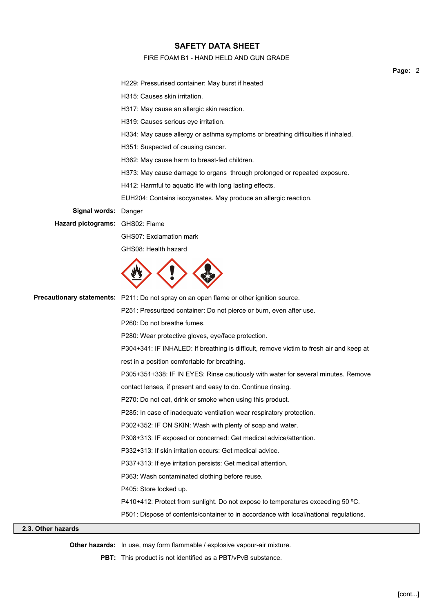## FIRE FOAM B1 - HAND HELD AND GUN GRADE

|                                 | H229: Pressurised container: May burst if heated                                        |
|---------------------------------|-----------------------------------------------------------------------------------------|
|                                 | H315: Causes skin irritation.                                                           |
|                                 | H317: May cause an allergic skin reaction.                                              |
|                                 | H319: Causes serious eye irritation.                                                    |
|                                 | H334: May cause allergy or asthma symptoms or breathing difficulties if inhaled.        |
|                                 | H351: Suspected of causing cancer.                                                      |
|                                 | H362: May cause harm to breast-fed children.                                            |
|                                 | H373: May cause damage to organs through prolonged or repeated exposure.                |
|                                 | H412: Harmful to aquatic life with long lasting effects.                                |
|                                 | EUH204: Contains isocyanates. May produce an allergic reaction.                         |
| Signal words: Danger            |                                                                                         |
| Hazard pictograms: GHS02: Flame |                                                                                         |
|                                 | GHS07: Exclamation mark                                                                 |
|                                 | GHS08: Health hazard                                                                    |
|                                 |                                                                                         |
|                                 | Precautionary statements: P211: Do not spray on an open flame or other ignition source. |
|                                 | P251: Pressurized container: Do not pierce or burn, even after use.                     |
|                                 | P260: Do not breathe fumes.                                                             |
|                                 | P280: Wear protective gloves, eye/face protection.                                      |
|                                 | P304+341: IF INHALED: If breathing is difficult, remove victim to fresh air and keep at |
|                                 | rest in a position comfortable for breathing.                                           |
|                                 | P305+351+338: IF IN EYES: Rinse cautiously with water for several minutes. Remove       |
|                                 | contact lenses, if present and easy to do. Continue rinsing.                            |
|                                 | P270: Do not eat, drink or smoke when using this product.                               |
|                                 | P285: In case of inadequate ventilation wear respiratory protection.                    |
|                                 | P302+352: IF ON SKIN: Wash with plenty of soap and water.                               |
|                                 | P308+313: IF exposed or concerned: Get medical advice/attention.                        |
|                                 | P332+313: If skin irritation occurs: Get medical advice.                                |
|                                 | P337+313: If eye irritation persists: Get medical attention.                            |
|                                 | P363: Wash contaminated clothing before reuse.                                          |
|                                 | P405: Store locked up.                                                                  |
|                                 | P410+412: Protect from sunlight. Do not expose to temperatures exceeding 50 °C.         |
|                                 | P501: Dispose of contents/container to in accordance with local/national regulations.   |

# **2.3. Other hazards**

**Other hazards:** In use, may form flammable / explosive vapour-air mixture.

**PBT:** This product is not identified as a PBT/vPvB substance.

**Page:** 2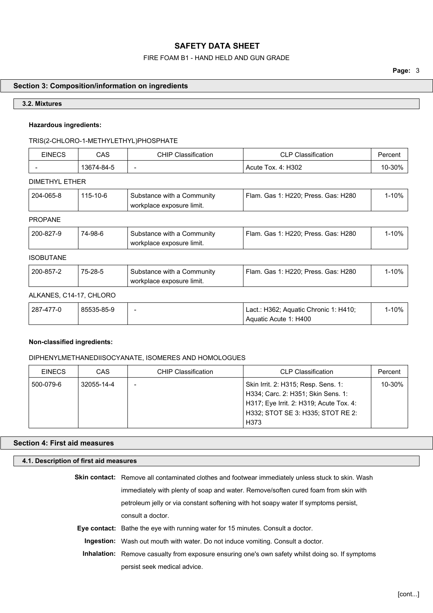## FIRE FOAM B1 - HAND HELD AND GUN GRADE

# **Section 3: Composition/information on ingredients**

## **3.2. Mixtures**

## **Hazardous ingredients:**

# TRIS(2-CHLORO-1-METHYLETHYL)PHOSPHATE

| <b>EINECS</b>            | CAS        | Classification<br>CHIP.  | <b>CLP Classification</b> | Percent        |
|--------------------------|------------|--------------------------|---------------------------|----------------|
| $\overline{\phantom{0}}$ | 13674-84-5 | $\overline{\phantom{0}}$ | Acute Tox. 4: H302        | ാററി<br>∙JU 70 |

## DIMETHYL ETHER

| 204-065-8<br>115-10-6<br>Flam. Gas 1: H220: Press. Gas: H280<br>Substance with a Community<br>workplace exposure limit. | 1-10% |
|-------------------------------------------------------------------------------------------------------------------------|-------|
|-------------------------------------------------------------------------------------------------------------------------|-------|

# PROPANE

| 200-827-9 | 74-98-6 | Substance with a Community<br>workplace exposure limit. | Flam, Gas 1: H220: Press, Gas: H280 | -10% |
|-----------|---------|---------------------------------------------------------|-------------------------------------|------|
|           |         |                                                         |                                     |      |

## ISOBUTANE

| 200-857-2 | 75-28-5 | Substance with a Community | Flam. Gas 1: H220; Press. Gas: H280 | -10% ∣ |
|-----------|---------|----------------------------|-------------------------------------|--------|
|           |         | workplace exposure limit.  |                                     |        |

## ALKANES, C14-17, CHLORO

| 287-477-0 | 85535-85-9 | - | Lact.: H362; Aquatic Chronic 1: H410; | 1-10% |
|-----------|------------|---|---------------------------------------|-------|
|           |            |   | Aquatic Acute 1: H400                 |       |

## **Non-classified ingredients:**

# DIPHENYLMETHANEDIISOCYANATE, ISOMERES AND HOMOLOGUES

| <b>EINECS</b> | CAS        | <b>CHIP Classification</b> | <b>CLP Classification</b>                                                                                                                                 | Percent |
|---------------|------------|----------------------------|-----------------------------------------------------------------------------------------------------------------------------------------------------------|---------|
| 500-079-6     | 32055-14-4 | -                          | Skin Irrit. 2: H315; Resp. Sens. 1:<br>H334; Carc. 2: H351; Skin Sens. 1:<br>H317; Eye Irrit. 2: H319; Acute Tox. 4:<br>H332; STOT SE 3: H335; STOT RE 2: | 10-30%  |
|               |            |                            | H373                                                                                                                                                      |         |

# **Section 4: First aid measures**

| 4.1. Description of first aid measures |                                                                                                          |
|----------------------------------------|----------------------------------------------------------------------------------------------------------|
|                                        | <b>Skin contact:</b> Remove all contaminated clothes and footwear immediately unless stuck to skin. Wash |
|                                        | immediately with plenty of soap and water. Remove/soften cured foam from skin with                       |
|                                        | petroleum jelly or via constant softening with hot soapy water If symptoms persist.                      |
|                                        | consult a doctor.                                                                                        |
|                                        | <b>Eye contact:</b> Bathe the eye with running water for 15 minutes. Consult a doctor.                   |
|                                        | <b>Ingestion:</b> Wash out mouth with water. Do not induce vomiting. Consult a doctor.                   |
|                                        | Inhalation: Remove casualty from exposure ensuring one's own safety whilst doing so. If symptoms         |
|                                        | persist seek medical advice.                                                                             |
|                                        |                                                                                                          |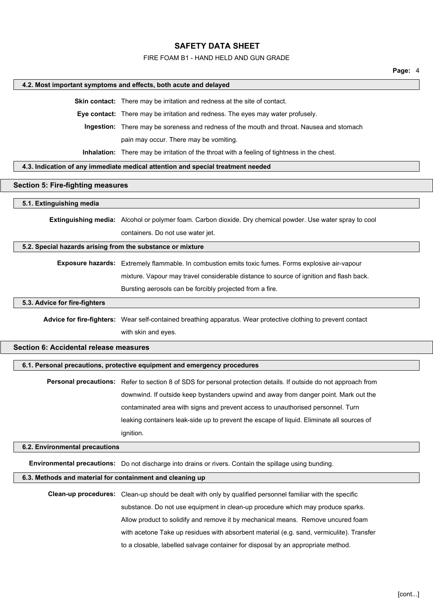#### FIRE FOAM B1 - HAND HELD AND GUN GRADE

#### **Page:** 4

#### **4.2. Most important symptoms and effects, both acute and delayed**

**Skin contact:** There may be irritation and redness at the site of contact.

**Eye contact:** There may be irritation and redness. The eyes may water profusely.

**Ingestion:** There may be soreness and redness of the mouth and throat. Nausea and stomach

pain may occur. There may be vomiting.

**Inhalation:** There may be irritation of the throat with a feeling of tightness in the chest.

## **4.3. Indication of any immediate medical attention and special treatment needed**

#### **Section 5: Fire-fighting measures**

#### **5.1. Extinguishing media**

**Extinguishing media:** Alcohol or polymer foam. Carbon dioxide. Dry chemical powder. Use water spray to cool containers. Do not use water jet.

#### **5.2. Special hazards arising from the substance or mixture**

**Exposure hazards:** Extremely flammable. In combustion emits toxic fumes. Forms explosive air-vapour mixture. Vapour may travel considerable distance to source of ignition and flash back. Bursting aerosols can be forcibly projected from a fire.

suriᏠ-

#### **5.3. Advice for fire-fighters**

**Advice for fire-fighters:** Wear self-contained breathing apparatus. Wear protective clothing to prevent contact with skin and eyes.

## **Section 6: Accidental release measures**

#### **6.1. Personal precautions, protective equipment and emergency procedures**

**Personal precautions:** Refer to section 8 of SDS for personal protection details. If outside do not approach from downwind. If outside keep bystanders upwind and away from danger point. Mark out the contaminated area with signs and prevent access to unauthorised personnel. Turn leaking containers leak-side up to prevent the escape of liquid. Eliminate all sources of ignition.

#### **6.2. Environmental precautions**

**Environmental precautions:** Do not discharge into drains or rivers. Contain the spillage using bunding.

#### **6.3. Methods and material for containment and cleaning up**

**Clean-up procedures:** Clean-up should be dealt with only by qualified personnel familiar with the specific substance. Do not use equipment in clean-up procedure which may produce sparks. Allow product to solidify and remove it by mechanical means. Remove uncured foam with acetone Take up residues with absorbent material (e.g. sand, vermiculite). Transfer to a closable, labelled salvage container for disposal by an appropriate method.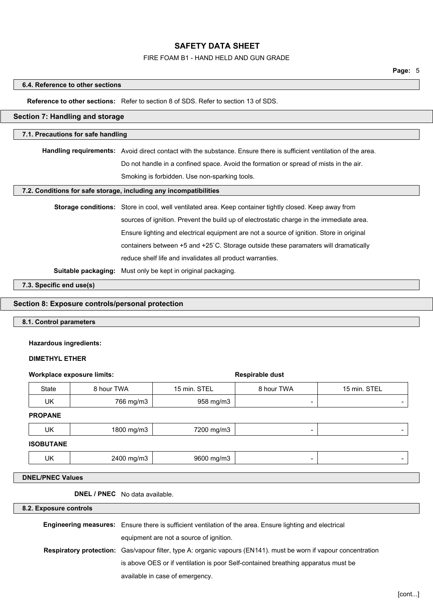## FIRE FOAM B1 - HAND HELD AND GUN GRADE

#### **6.4. Reference to other sections**

## **Reference to other sections:** Refer to section 8 of SDS. Refer to section 13 of SDS.

#### **Section 7: Handling and storage**

## **7.1. Precautions for safe handling**

**Handling requirements:** Avoid direct contact with the substance. Ensure there is sufficient ventilation of the area. Do not handle in a confined space. Avoid the formation or spread of mists in the air.

Smoking is forbidden. Use non-sparking tools.

## **7.2. Conditions for safe storage, including any incompatibilities**

| Storage conditions: Store in cool, well ventilated area. Keep container tightly closed. Keep away from |
|--------------------------------------------------------------------------------------------------------|
| sources of ignition. Prevent the build up of electrostatic charge in the immediate area.               |
| Ensure lighting and electrical equipment are not a source of ignition. Store in original               |
| containers between +5 and +25 °C. Storage outside these paramaters will dramatically                   |
| reduce shelf life and invalidates all product warranties.                                              |
|                                                                                                        |

contḀ̍

**Suitable packaging:** Must only be kept in original packaging.

**7.3. Specific end use(s)**

# **Section 8: Exposure controls/personal protection**

## **8.1. Control parameters**

#### **Hazardous ingredients:**

## **DIMETHYL ETHER**

| <b>Workplace exposure limits:</b> |                                       | Respirable dust |            |              |
|-----------------------------------|---------------------------------------|-----------------|------------|--------------|
| State                             | 8 hour TWA                            | 15 min. STEL    | 8 hour TWA | 15 min. STEL |
| UK                                | 766 mg/m3                             | 958 mg/m3       |            |              |
| <b>PROPANE</b>                    |                                       |                 |            |              |
| UK                                | 1800 mg/m3                            | 7200 mg/m3      | -          | -            |
| <b>ISOBUTANE</b>                  |                                       |                 |            |              |
| UK                                | 2400 mg/m3                            | 9600 mg/m3      | -          | -            |
| <b>DNEL/PNEC Values</b>           |                                       |                 |            |              |
|                                   | <b>DNEL / PNEC</b> No data available. |                 |            |              |
| 8.2. Exposure controls            |                                       |                 |            |              |

| <b>Engineering measures:</b> Ensure there is sufficient ventilation of the area. Ensure lighting and electrical         |
|-------------------------------------------------------------------------------------------------------------------------|
| equipment are not a source of ignition.                                                                                 |
| <b>Respiratory protection:</b> Gas/vapour filter, type A: organic vapours (EN141). must be worn if vapour concentration |
| is above OES or if ventilation is poor Self-contained breathing apparatus must be                                       |
| available in case of emergency.                                                                                         |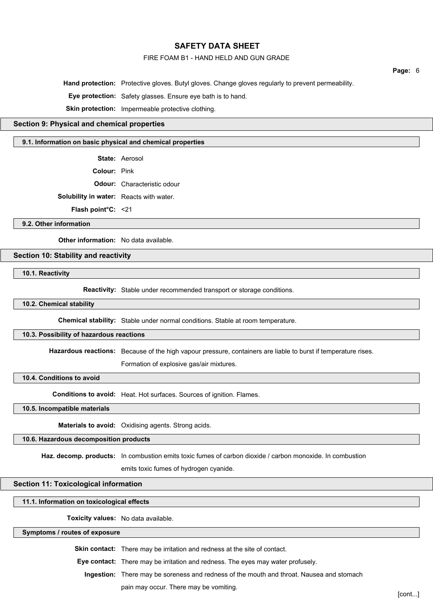#### FIRE FOAM B1 - HAND HELD AND GUN GRADE

**Page:** 6

**Hand protection:** Protective gloves. Butyl gloves. Change gloves regularly to prevent permeability.

**Eye protection:** Safety glasses. Ensure eye bath is to hand.

**Skin protection:** Impermeable protective clothing.

## **Section 9: Physical and chemical properties**

#### **9.1. Information on basic physical and chemical properties**

**State:** Aerosol

**Colour:** Pink

**Odour:** Characteristic odour

**Solubility in water:** Reacts with water.

**Flash point°C:** <21

#### **9.2. Other information**

**Other information:** No data available.

## **Section 10: Stability and reactivity**

**10.1. Reactivity**

**Reactivity:** Stable under recommended transport or storage conditions.

## **10.2. Chemical stability**

**Chemical stability:** Stable under normal conditions. Stable at room temperature.

#### **10.3. Possibility of hazardous reactions**

**Hazardous reactions:** Because of the high vapour pressure, containers are liable to burst if temperature rises.

s po՛

Formation of explosive gas/air mixtures.

## **10.4. Conditions to avoid**

**Conditions to avoid:** Heat. Hot surfaces. Sources of ignition. Flames.

**10.5. Incompatible materials**

**Materials to avoid:** Oxidising agents. Strong acids.

#### **10.6. Hazardous decomposition products**

Haz. decomp. products: In combustion emits toxic fumes of carbon dioxide / carbon monoxide. In combustion

emits toxic fumes of hydrogen cyanide.

## **Section 11: Toxicological information**

#### **11.1. Information on toxicological effects**

**Toxicity values:** No data available.

#### **Symptoms / routes of exposure**

**Skin contact:** There may be irritation and redness at the site of contact.

**Eye contact:** There may be irritation and redness. The eyes may water profusely.

**Ingestion:** There may be soreness and redness of the mouth and throat. Nausea and stomach

pain may occur. There may be vomiting.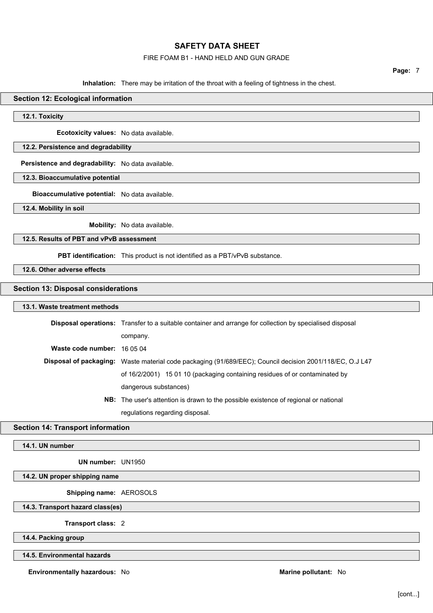## FIRE FOAM B1 - HAND HELD AND GUN GRADE

**Page:** 7

**Inhalation:** There may be irritation of the throat with a feeling of tightness in the chest.

## **Section 12: Ecological information**

**12.1. Toxicity**

**Ecotoxicity values:** No data available.

## **12.2. Persistence and degradability**

**Persistence and degradability:** No data available.

## **12.3. Bioaccumulative potential**

**Bioaccumulative potential:** No data available.

**12.4. Mobility in soil**

**Mobility:** No data available.

#### **12.5. Results of PBT and vPvB assessment**

**PBT identification:** This product is not identified as a PBT/vPvB substance.

**12.6. Other adverse effects**

#### **Section 13: Disposal considerations**

#### **13.1. Waste treatment methods**

|                             | <b>Disposal operations:</b> Transfer to a suitable container and arrange for collection by specialised disposal |
|-----------------------------|-----------------------------------------------------------------------------------------------------------------|
|                             | company.                                                                                                        |
| Waste code number: 16 05 04 |                                                                                                                 |
|                             | Disposal of packaging: Waste material code packaging (91/689/EEC); Council decision 2001/118/EC, O.J L47        |
|                             | of 16/2/2001) 15 01 10 (packaging containing residues of or contaminated by                                     |
|                             | dangerous substances)                                                                                           |
|                             | <b>NB:</b> The user's attention is drawn to the possible existence of regional or national                      |

regulations regarding disposal.

## **Section 14: Transport information**

**14.1. UN number**

**UN number:** UN1950

## **14.2. UN proper shipping name**

**Shipping name:** AEROSOLS

**14.3. Transport hazard class(es)**

**Transport class:** 2

**14.4. Packing group**

**14.5. Environmental hazards**

**Environmentally hazardous:** No **Marine pollutant:** No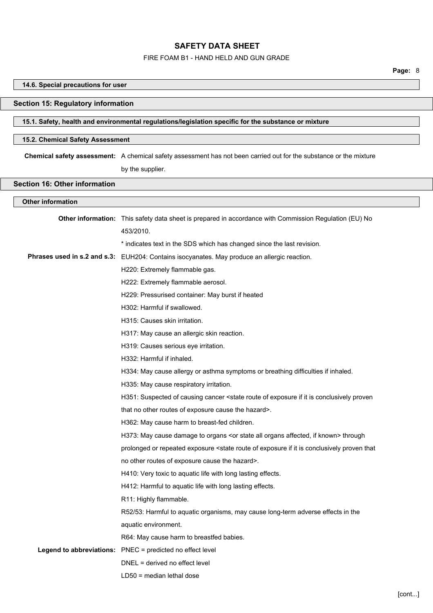#### FIRE FOAM B1 - HAND HELD AND GUN GRADE

**Page:** 8

# **14.6. Special precautions for user Section 15: Regulatory information 15.1. Safety, health and environmental regulations/legislation specific for the substance or mixture 15.2. Chemical Safety Assessment Chemical safety assessment:** A chemical safety assessment has not been carried out for the substance or the mixture by the supplier. **Section 16: Other information Other information Other information:** This safety data sheet is prepared in accordance with Commission Regulation (EU) No 453/2010. \* indicates text in the SDS which has changed since the last revision. **Phrases used in s.2 and s.3:** EUH204: Contains isocyanates. May produce an allergic reaction. H220: Extremely flammable gas. H222: Extremely flammable aerosol. H229: Pressurised container: May burst if heated H302: Harmful if swallowed. H315: Causes skin irritation. H317: May cause an allergic skin reaction. H319: Causes serious eye irritation. H332: Harmful if inhaled. H334: May cause allergy or asthma symptoms or breathing difficulties if inhaled. H335: May cause respiratory irritation. H351: Suspected of causing cancer <state route of exposure if it is conclusively proven that no other routes of exposure cause the hazard>. H362: May cause harm to breast-fed children. H373: May cause damage to organs <or state all organs affected, if known> through prolonged or repeated exposure <state route of exposure if it is conclusively proven that no other routes of exposure cause the hazard>. H410: Very toxic to aquatic life with long lasting effects. H412: Harmful to aquatic life with long lasting effects. R11: Highly flammable. R52/53: Harmful to aquatic organisms, may cause long-term adverse effects in the aquatic environment. R64: May cause harm to breastfed babies. **Legend to abbreviations:** PNEC = predicted no effect level DNEL = derived no effect level

LD50 = median lethal dose